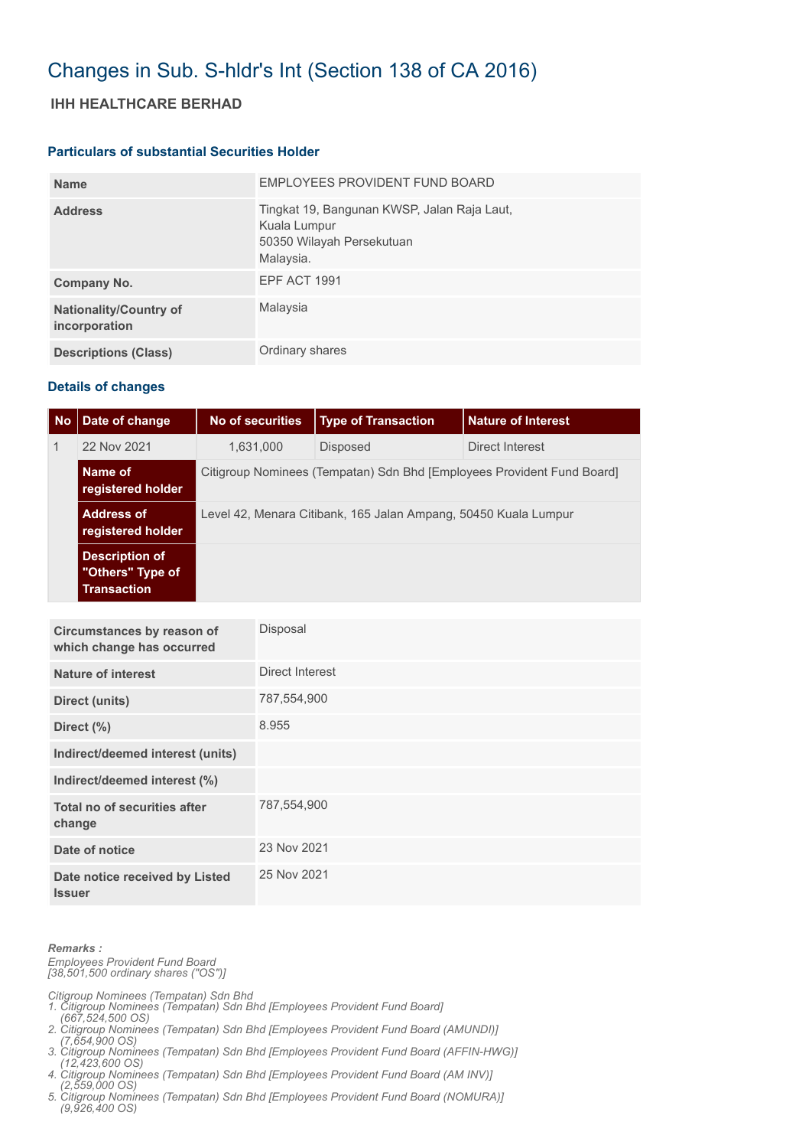# Changes in Sub. S-hldr's Int (Section 138 of CA 2016)

## **IHH HEALTHCARE BERHAD**

#### **Particulars of substantial Securities Holder**

| <b>Name</b>                                    | EMPLOYEES PROVIDENT FUND BOARD                                                                        |
|------------------------------------------------|-------------------------------------------------------------------------------------------------------|
| <b>Address</b>                                 | Tingkat 19, Bangunan KWSP, Jalan Raja Laut,<br>Kuala Lumpur<br>50350 Wilayah Persekutuan<br>Malaysia. |
| Company No.                                    | EPF ACT 1991                                                                                          |
| <b>Nationality/Country of</b><br>incorporation | Malaysia                                                                                              |
| <b>Descriptions (Class)</b>                    | Ordinary shares                                                                                       |

### **Details of changes**

| No           | Date of change                                                  | No of securities                                                       | <b>Type of Transaction</b> | <b>Nature of Interest</b> |  |  |
|--------------|-----------------------------------------------------------------|------------------------------------------------------------------------|----------------------------|---------------------------|--|--|
| $\mathbf{1}$ | 22 Nov 2021                                                     | 1,631,000                                                              | <b>Disposed</b>            | Direct Interest           |  |  |
|              | Name of<br>registered holder                                    | Citigroup Nominees (Tempatan) Sdn Bhd [Employees Provident Fund Board] |                            |                           |  |  |
|              | <b>Address of</b><br>registered holder                          | Level 42, Menara Citibank, 165 Jalan Ampang, 50450 Kuala Lumpur        |                            |                           |  |  |
|              | <b>Description of</b><br>"Others" Type of<br><b>Transaction</b> |                                                                        |                            |                           |  |  |

| Circumstances by reason of<br>which change has occurred | Disposal        |
|---------------------------------------------------------|-----------------|
| Nature of interest                                      | Direct Interest |
| Direct (units)                                          | 787,554,900     |
| Direct (%)                                              | 8.955           |
| Indirect/deemed interest (units)                        |                 |
| Indirect/deemed interest (%)                            |                 |
| Total no of securities after<br>change                  | 787,554,900     |
| Date of notice                                          | 23 Nov 2021     |
| Date notice received by Listed<br><b>Issuer</b>         | 25 Nov 2021     |

#### *Remarks :*

*Employees Provident Fund Board [38,501,500 ordinary shares ("OS")]*

*Citigroup Nominees (Tempatan) Sdn Bhd* 

- *1. Citigroup Nominees (Tempatan) Sdn Bhd [Employees Provident Fund Board]*
- *(667,524,500 OS) 2. Citigroup Nominees (Tempatan) Sdn Bhd [Employees Provident Fund Board (AMUNDI)]*
- *(7,654,900 OS) 3. Citigroup Nominees (Tempatan) Sdn Bhd [Employees Provident Fund Board (AFFIN-HWG)]*
- *(12,423,600 OS) 4. Citigroup Nominees (Tempatan) Sdn Bhd [Employees Provident Fund Board (AM INV)]*
- *(2,559,000 OS)*
- *5. Citigroup Nominees (Tempatan) Sdn Bhd [Employees Provident Fund Board (NOMURA)] (9,926,400 OS)*